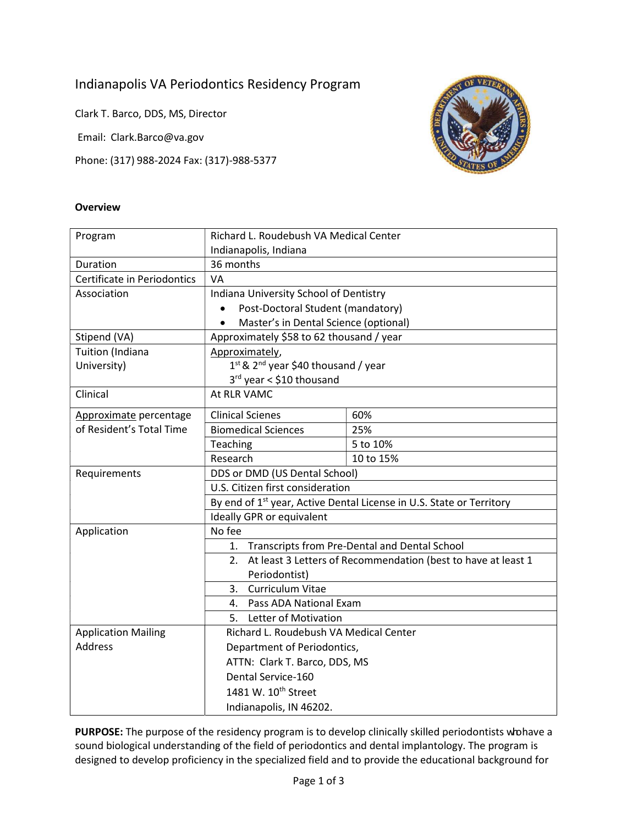# Indianapolis VA Periodontics Residency Program

Clark T. Barco, DDS, MS, Director

Email: Clark.Barco@va.gov

Phone: (317) 988-2024 Fax: (317)-988-5377



### **Overview**

| Program                                       | Richard L. Roudebush VA Medical Center                                                                                                                                             |           |  |
|-----------------------------------------------|------------------------------------------------------------------------------------------------------------------------------------------------------------------------------------|-----------|--|
|                                               | Indianapolis, Indiana                                                                                                                                                              |           |  |
| Duration                                      | 36 months                                                                                                                                                                          |           |  |
| Certificate in Periodontics                   | VA                                                                                                                                                                                 |           |  |
| Association                                   | Indiana University School of Dentistry                                                                                                                                             |           |  |
|                                               | Post-Doctoral Student (mandatory)<br>$\bullet$                                                                                                                                     |           |  |
|                                               | Master's in Dental Science (optional)<br>$\bullet$                                                                                                                                 |           |  |
| Stipend (VA)                                  | Approximately \$58 to 62 thousand / year                                                                                                                                           |           |  |
| Tuition (Indiana                              | Approximately,                                                                                                                                                                     |           |  |
| University)                                   | 1st & 2 <sup>nd</sup> year \$40 thousand / year                                                                                                                                    |           |  |
|                                               | 3rd year < \$10 thousand                                                                                                                                                           |           |  |
| Clinical                                      | At RLR VAMC                                                                                                                                                                        |           |  |
| Approximate percentage                        | <b>Clinical Scienes</b>                                                                                                                                                            | 60%       |  |
| of Resident's Total Time                      | <b>Biomedical Sciences</b>                                                                                                                                                         | 25%       |  |
|                                               | Teaching                                                                                                                                                                           | 5 to 10%  |  |
|                                               | Research                                                                                                                                                                           | 10 to 15% |  |
| Requirements                                  | DDS or DMD (US Dental School)<br>U.S. Citizen first consideration<br>By end of 1 <sup>st</sup> year, Active Dental License in U.S. State or Territory<br>Ideally GPR or equivalent |           |  |
|                                               |                                                                                                                                                                                    |           |  |
|                                               |                                                                                                                                                                                    |           |  |
|                                               |                                                                                                                                                                                    |           |  |
| No fee<br>Application                         |                                                                                                                                                                                    |           |  |
|                                               | 1. Transcripts from Pre-Dental and Dental School                                                                                                                                   |           |  |
|                                               | 2. At least 3 Letters of Recommendation (best to have at least 1                                                                                                                   |           |  |
|                                               | Periodontist)                                                                                                                                                                      |           |  |
|                                               | <b>Curriculum Vitae</b><br>3.                                                                                                                                                      |           |  |
|                                               | Pass ADA National Exam<br>4.                                                                                                                                                       |           |  |
| <b>Letter of Motivation</b><br>5.             |                                                                                                                                                                                    |           |  |
| <b>Application Mailing</b>                    | Richard L. Roudebush VA Medical Center                                                                                                                                             |           |  |
| <b>Address</b><br>Department of Periodontics, |                                                                                                                                                                                    |           |  |
|                                               | ATTN: Clark T. Barco, DDS, MS                                                                                                                                                      |           |  |
|                                               | Dental Service-160                                                                                                                                                                 |           |  |
|                                               | 1481 W. 10 <sup>th</sup> Street                                                                                                                                                    |           |  |
|                                               | Indianapolis, IN 46202.                                                                                                                                                            |           |  |

PURPOSE: The purpose of the residency program is to develop clinically skilled periodontists who have a sound biological understanding of the field of periodontics and dental implantology. The program is designed to develop proficiency in the specialized field and to provide the educational background for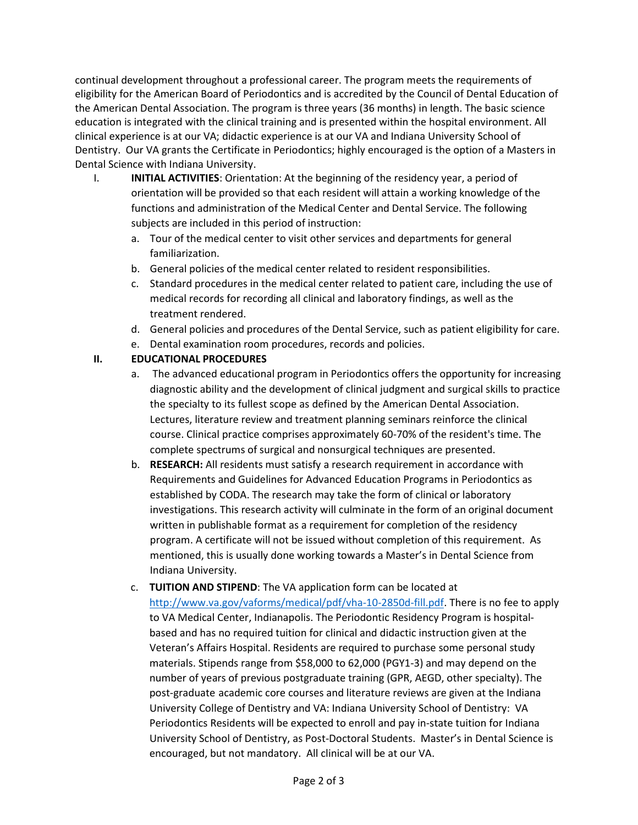continual development throughout a professional career. The program meets the requirements of eligibility for the American Board of Periodontics and is accredited by the Council of Dental Education of the American Dental Association. The program is three years (36 months) in length. The basic science education is integrated with the clinical training and is presented within the hospital environment. All clinical experience is at our VA; didactic experience is at our VA and Indiana University School of Dentistry. Our VA grants the Certificate in Periodontics; highly encouraged is the option of a Masters in Dental Science with Indiana University.

- I. **INITIAL ACTIVITIES:** Orientation: At the beginning of the residency year, a period of orientation will be provided so that each resident will attain a working knowledge of the functions and administration of the Medical Center and Dental Service. The following subjects are included in this period of instruction:
	- a. Tour of the medical center to visit other services and departments for general familiarization.
	- b. General policies of the medical center related to resident responsibilities.
	- c. Standard procedures in the medical center related to patient care, including the use of medical records for recording all clinical and laboratory findings, as well as the treatment rendered.
	- d. General policies and procedures of the Dental Service, such as patient eligibility for care. e. Dental examination room procedures, records and policies.

## II. EDUCATIONAL PROCEDURES

- a. The advanced educational program in Periodontics offers the opportunity for increasing diagnostic ability and the development of clinical judgment and surgical skills to practice the specialty to its fullest scope as defined by the American Dental Association. Lectures, literature review and treatment planning seminars reinforce the clinical course. Clinical practice comprises approximately 60-70% of the resident's time. The complete spectrums of surgical and nonsurgical techniques are presented.
- b. RESEARCH: All residents must satisfy a research requirement in accordance with Requirements and Guidelines for Advanced Education Programs in Periodontics as established by CODA. The research may take the form of clinical or laboratory investigations. This research activity will culminate in the form of an original document written in publishable format as a requirement for completion of the residency program. A certificate will not be issued without completion of this requirement. As mentioned, this is usually done working towards a Master's in Dental Science from Indiana University.
- c. TUITION AND STIPEND: The VA application form can be located at http://www.va.gov/vaforms/medical/pdf/vha-10-2850d-fill.pdf. There is no fee to apply to VA Medical Center, Indianapolis. The Periodontic Residency Program is hospitalbased and has no required tuition for clinical and didactic instruction given at the Veteran's Affairs Hospital. Residents are required to purchase some personal study materials. Stipends range from \$58,000 to 62,000 (PGY1-3) and may depend on the number of years of previous postgraduate training (GPR, AEGD, other specialty). The post-graduate academic core courses and literature reviews are given at the Indiana University College of Dentistry and VA: Indiana University School of Dentistry: VA Periodontics Residents will be expected to enroll and pay in-state tuition for Indiana University School of Dentistry, as Post-Doctoral Students. Master's in Dental Science is encouraged, but not mandatory. All clinical will be at our VA.